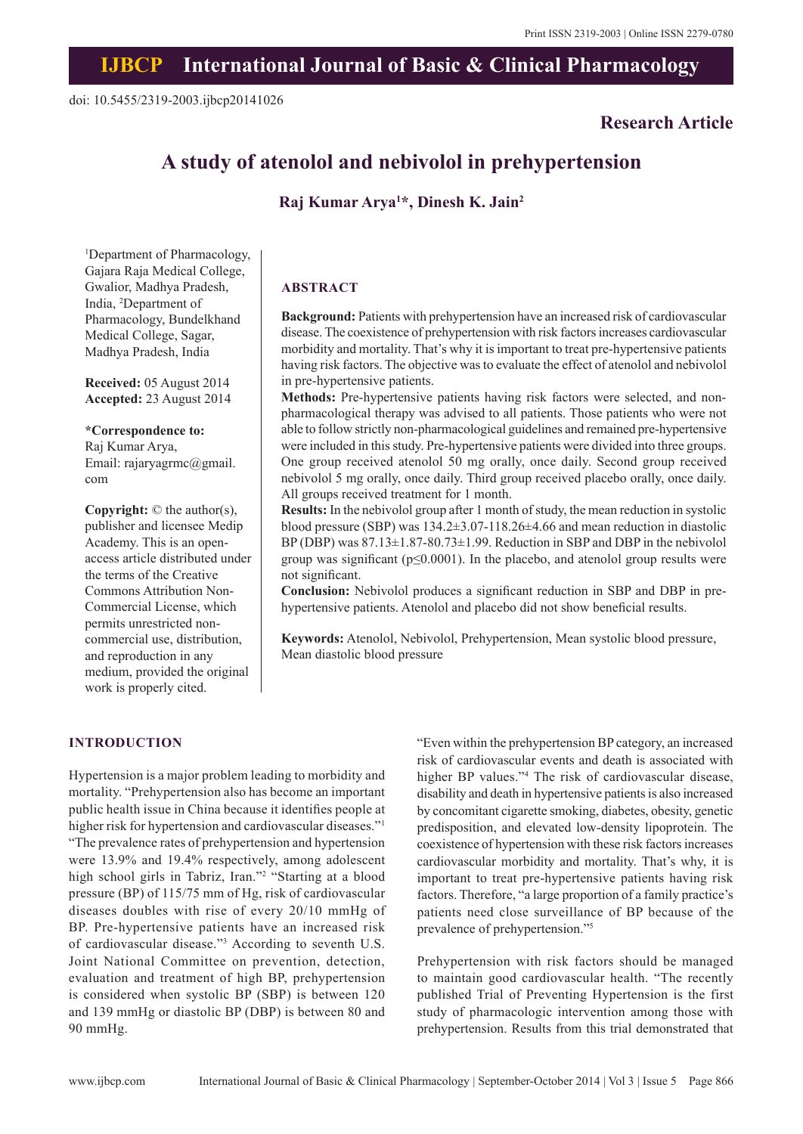## **IJBCP International Journal of Basic & Clinical Pharmacology**

## **Research Article**

# **A study of atenolol and nebivolol in prehypertension**

## **Raj Kumar Arya1 \*, Dinesh K. Jain2**

1 Department of Pharmacology, Gajara Raja Medical College, Gwalior, Madhya Pradesh, India, 2 Department of Pharmacology, Bundelkhand Medical College, Sagar, Madhya Pradesh, India

**Received:** 05 August 2014 **Accepted:** 23 August 2014

#### **\*Correspondence to:**

Raj Kumar Arya, Email: rajaryagrmc@gmail. com

**Copyright:** © the author(s), publisher and licensee Medip Academy. This is an openaccess article distributed under the terms of the Creative Commons Attribution Non-Commercial License, which permits unrestricted noncommercial use, distribution, and reproduction in any medium, provided the original work is properly cited.

## **ABSTRACT**

**Background:** Patients with prehypertension have an increased risk of cardiovascular disease. The coexistence of prehypertension with risk factors increases cardiovascular morbidity and mortality. That's why it is important to treat pre-hypertensive patients having risk factors. The objective was to evaluate the effect of atenolol and nebivolol in pre-hypertensive patients.

**Methods:** Pre-hypertensive patients having risk factors were selected, and nonpharmacological therapy was advised to all patients. Those patients who were not able to follow strictly non-pharmacological guidelines and remained pre-hypertensive were included in this study. Pre-hypertensive patients were divided into three groups. One group received atenolol 50 mg orally, once daily. Second group received nebivolol 5 mg orally, once daily. Third group received placebo orally, once daily. All groups received treatment for 1 month.

**Results:** In the nebivolol group after 1 month of study, the mean reduction in systolic blood pressure (SBP) was 134.2±3.07-118.26±4.66 and mean reduction in diastolic BP (DBP) was 87.13±1.87-80.73±1.99. Reduction in SBP and DBP in the nebivolol group was significant ( $p \leq 0.0001$ ). In the placebo, and atenolol group results were not significant.

**Conclusion:** Nebivolol produces a significant reduction in SBP and DBP in prehypertensive patients. Atenolol and placebo did not show beneficial results.

**Keywords:** Atenolol, Nebivolol, Prehypertension, Mean systolic blood pressure, Mean diastolic blood pressure

#### **INTRODUCTION**

Hypertension is a major problem leading to morbidity and mortality. "Prehypertension also has become an important public health issue in China because it identifies people at higher risk for hypertension and cardiovascular diseases."<sup>1</sup> "The prevalence rates of prehypertension and hypertension were 13.9% and 19.4% respectively, among adolescent high school girls in Tabriz, Iran."2 "Starting at a blood pressure (BP) of 115/75 mm of Hg, risk of cardiovascular diseases doubles with rise of every 20/10 mmHg of BP. Pre-hypertensive patients have an increased risk of cardiovascular disease."3 According to seventh U.S. Joint National Committee on prevention, detection, evaluation and treatment of high BP, prehypertension is considered when systolic BP (SBP) is between 120 and 139 mmHg or diastolic BP (DBP) is between 80 and 90 mmHg.

"Even within the prehypertension BP category, an increased risk of cardiovascular events and death is associated with higher BP values."4 The risk of cardiovascular disease, disability and death in hypertensive patients is also increased by concomitant cigarette smoking, diabetes, obesity, genetic predisposition, and elevated low-density lipoprotein. The coexistence of hypertension with these risk factors increases cardiovascular morbidity and mortality. That's why, it is important to treat pre-hypertensive patients having risk factors. Therefore, "a large proportion of a family practice's patients need close surveillance of BP because of the prevalence of prehypertension."5

Prehypertension with risk factors should be managed to maintain good cardiovascular health. "The recently published Trial of Preventing Hypertension is the first study of pharmacologic intervention among those with prehypertension. Results from this trial demonstrated that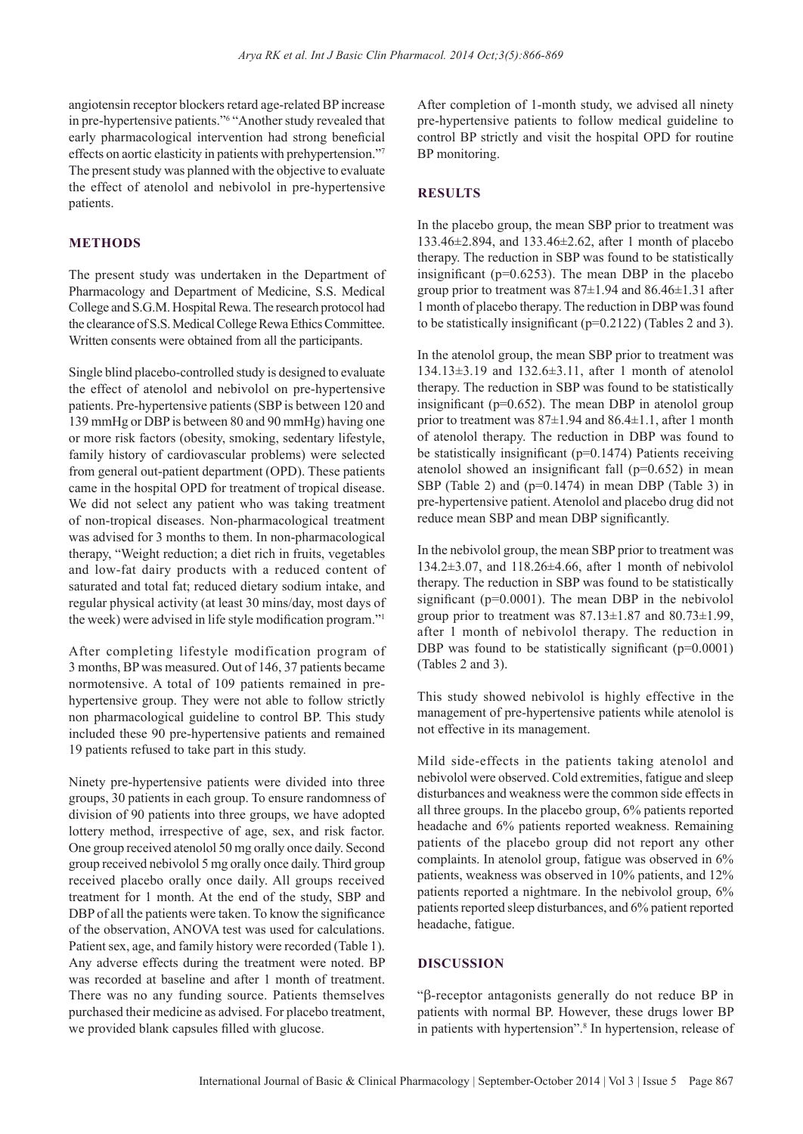angiotensin receptor blockers retard age-related BP increase in pre-hypertensive patients."6 "Another study revealed that early pharmacological intervention had strong beneficial effects on aortic elasticity in patients with prehypertension."7 The present study was planned with the objective to evaluate the effect of atenolol and nebivolol in pre-hypertensive patients.

## **METHODS**

The present study was undertaken in the Department of Pharmacology and Department of Medicine, S.S. Medical College and S.G.M. Hospital Rewa. The research protocol had the clearance of S.S. Medical College Rewa Ethics Committee. Written consents were obtained from all the participants.

Single blind placebo-controlled study is designed to evaluate the effect of atenolol and nebivolol on pre-hypertensive patients. Pre-hypertensive patients (SBP is between 120 and 139 mmHg or DBP is between 80 and 90 mmHg) having one or more risk factors (obesity, smoking, sedentary lifestyle, family history of cardiovascular problems) were selected from general out-patient department (OPD). These patients came in the hospital OPD for treatment of tropical disease. We did not select any patient who was taking treatment of non-tropical diseases. Non-pharmacological treatment was advised for 3 months to them. In non-pharmacological therapy, "Weight reduction; a diet rich in fruits, vegetables and low-fat dairy products with a reduced content of saturated and total fat; reduced dietary sodium intake, and regular physical activity (at least 30 mins/day, most days of the week) were advised in life style modification program."<sup>1</sup>

After completing lifestyle modification program of 3 months, BP was measured. Out of 146, 37 patients became normotensive. A total of 109 patients remained in prehypertensive group. They were not able to follow strictly non pharmacological guideline to control BP. This study included these 90 pre-hypertensive patients and remained 19 patients refused to take part in this study.

Ninety pre-hypertensive patients were divided into three groups, 30 patients in each group. To ensure randomness of division of 90 patients into three groups, we have adopted lottery method, irrespective of age, sex, and risk factor. One group received atenolol 50 mg orally once daily. Second group received nebivolol 5 mg orally once daily. Third group received placebo orally once daily. All groups received treatment for 1 month. At the end of the study, SBP and DBP of all the patients were taken. To know the significance of the observation, ANOVA test was used for calculations. Patient sex, age, and family history were recorded (Table 1). Any adverse effects during the treatment were noted. BP was recorded at baseline and after 1 month of treatment. There was no any funding source. Patients themselves purchased their medicine as advised. For placebo treatment, we provided blank capsules filled with glucose.

After completion of 1-month study, we advised all ninety pre-hypertensive patients to follow medical guideline to control BP strictly and visit the hospital OPD for routine BP monitoring.

#### **RESULTS**

In the placebo group, the mean SBP prior to treatment was 133.46±2.894, and 133.46±2.62, after 1 month of placebo therapy. The reduction in SBP was found to be statistically insignificant ( $p=0.6253$ ). The mean DBP in the placebo group prior to treatment was  $87\pm1.94$  and  $86.46\pm1.31$  after 1 month of placebo therapy. The reduction in DBP was found to be statistically insignificant (p=0.2122) (Tables 2 and 3).

In the atenolol group, the mean SBP prior to treatment was 134.13±3.19 and 132.6±3.11, after 1 month of atenolol therapy. The reduction in SBP was found to be statistically insignificant ( $p=0.652$ ). The mean DBP in atenolol group prior to treatment was 87±1.94 and 86.4±1.1, after 1 month of atenolol therapy. The reduction in DBP was found to be statistically insignificant (p=0.1474) Patients receiving atenolol showed an insignificant fall (p=0.652) in mean SBP (Table 2) and (p=0.1474) in mean DBP (Table 3) in pre-hypertensive patient. Atenolol and placebo drug did not reduce mean SBP and mean DBP significantly.

In the nebivolol group, the mean SBP prior to treatment was 134.2±3.07, and 118.26±4.66, after 1 month of nebivolol therapy. The reduction in SBP was found to be statistically significant (p=0.0001). The mean DBP in the nebivolol group prior to treatment was  $87.13 \pm 1.87$  and  $80.73 \pm 1.99$ , after 1 month of nebivolol therapy. The reduction in DBP was found to be statistically significant  $(p=0.0001)$ (Tables 2 and 3).

This study showed nebivolol is highly effective in the management of pre-hypertensive patients while atenolol is not effective in its management.

Mild side-effects in the patients taking atenolol and nebivolol were observed. Cold extremities, fatigue and sleep disturbances and weakness were the common side effects in all three groups. In the placebo group, 6% patients reported headache and 6% patients reported weakness. Remaining patients of the placebo group did not report any other complaints. In atenolol group, fatigue was observed in 6% patients, weakness was observed in 10% patients, and 12% patients reported a nightmare. In the nebivolol group, 6% patients reported sleep disturbances, and 6% patient reported headache, fatigue.

## **DISCUSSION**

"b-receptor antagonists generally do not reduce BP in patients with normal BP. However, these drugs lower BP in patients with hypertension".<sup>8</sup> In hypertension, release of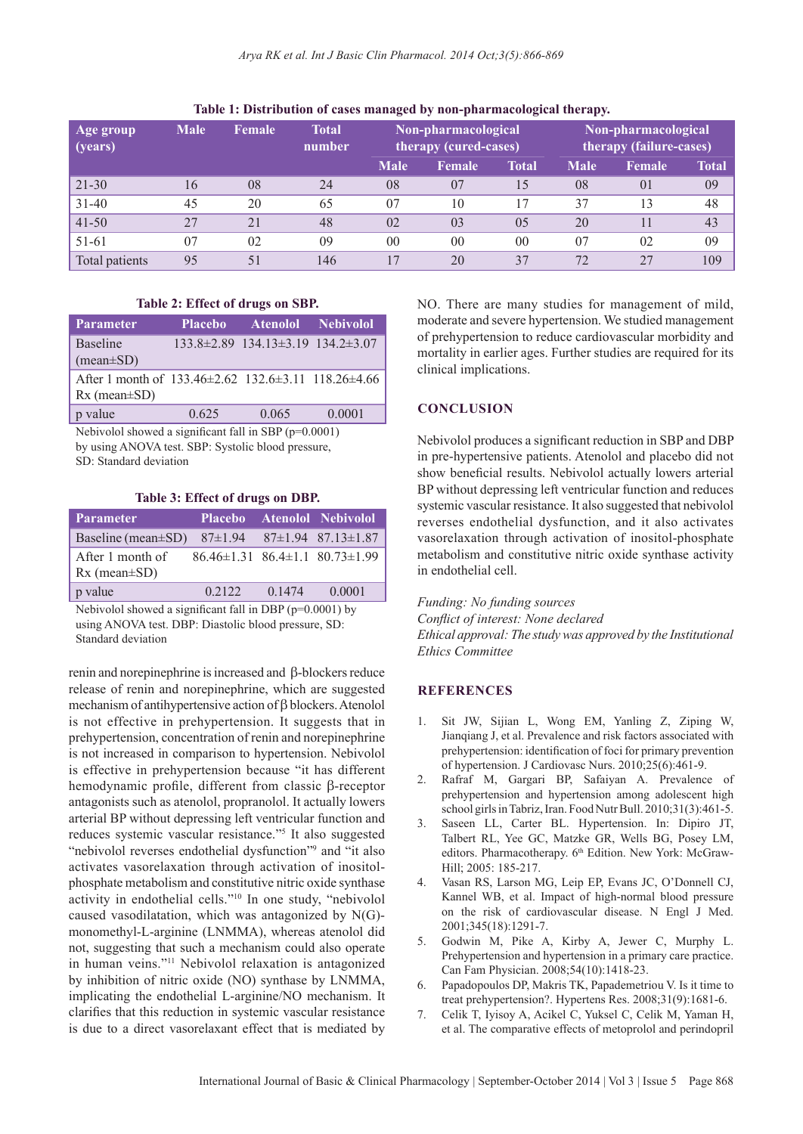| Age group<br>$\vert$ (years) | <b>Male</b> | Female | <b>Total</b><br>number | Non-pharmacological<br>therapy (cured-cases) |                | Non-pharmacological<br>therapy (failure-cases) |             |                |       |
|------------------------------|-------------|--------|------------------------|----------------------------------------------|----------------|------------------------------------------------|-------------|----------------|-------|
|                              |             |        |                        | <b>Male</b>                                  | <b>Female</b>  | Total                                          | <b>Male</b> | <b>Female</b>  | Total |
| $ 21-30$                     | 16          | 08     | 24                     | 08                                           | 07             | .5                                             | 08          | $\Omega$       | 09    |
| $ 31-40$                     | 45          | 20     | 65                     | 07                                           | 10             |                                                | 37          | $\overline{3}$ | 48    |
| $ 41-50$                     | 27          | 21     | 48                     | 0 <sub>2</sub>                               | 0 <sub>3</sub> | 0 <sub>5</sub>                                 | 20          |                | 43    |
| 51-61                        | 07          | 02     | 09                     | 00                                           | 00             | 00                                             | 07          | 02             | 09    |
| Total patients               | 95          | 51     | 146                    | 17                                           | 20             | 37                                             | 72          | 27             | 109   |

#### **Table 1: Distribution of cases managed by non‑pharmacological therapy.**

### **Table 2: Effect of drugs on SBP.**

| <b>Parameter</b>                                                                               | <b>Placebo</b> | <b>Atenolol Nebivolol</b>                          |        |
|------------------------------------------------------------------------------------------------|----------------|----------------------------------------------------|--------|
| <b>Baseline</b><br>$(mean \pm SD)$                                                             |                | $133.8\pm 2.89$ 134.13 $\pm 3.19$ 134.2 $\pm 3.07$ |        |
| After 1 month of $133.46 \pm 2.62$ $132.6 \pm 3.11$ $118.26 \pm 4.66$<br>$Rx$ (mean $\pm SD$ ) |                |                                                    |        |
| p value                                                                                        | 0.625          | 0.065                                              | 0.0001 |

Nebivolol showed a significant fall in SBP (p=0.0001) by using ANOVA test. SBP: Systolic blood pressure, SD: Standard deviation

#### **Table 3: Effect of drugs on DBP.**

| <b>Parameter</b>                                                   |                                                  |        | Placebo Atenolol Nebivolol             |  |  |  |
|--------------------------------------------------------------------|--------------------------------------------------|--------|----------------------------------------|--|--|--|
| Baseline (mean±SD)                                                 |                                                  |        | $87\pm1.94$ $87\pm1.94$ $87.13\pm1.87$ |  |  |  |
| After 1 month of<br>$Rx$ (mean $\pm SD$ )                          | $86.46 \pm 1.31$ $86.4 \pm 1.1$ $80.73 \pm 1.99$ |        |                                        |  |  |  |
| p value                                                            | 0.2122                                           | 0.1474 | 0.0001                                 |  |  |  |
| Nebuolal showed a significant fall in $\text{DRD}$ $(n-0.0001)$ by |                                                  |        |                                        |  |  |  |

Nebivolol showed a significant fall in DBP (p=0.0001) by using ANOVA test. DBP: Diastolic blood pressure, SD: Standard deviation

renin and norepinephrine is increased and  $\beta$ -blockers reduce release of renin and norepinephrine, which are suggested mechanism of antihypertensive action of  $\beta$  blockers. Atenolol is not effective in prehypertension. It suggests that in prehypertension, concentration of renin and norepinephrine is not increased in comparison to hypertension. Nebivolol is effective in prehypertension because "it has different hemodynamic profile, different from classic  $\beta$ -receptor antagonists such as atenolol, propranolol. It actually lowers arterial BP without depressing left ventricular function and reduces systemic vascular resistance."5 It also suggested "nebivolol reverses endothelial dysfunction"<sup>9</sup> and "it also activates vasorelaxation through activation of inositolphosphate metabolism and constitutive nitric oxide synthase activity in endothelial cells."10 In one study, "nebivolol caused vasodilatation, which was antagonized by N(G) monomethyl-L-arginine (LNMMA), whereas atenolol did not, suggesting that such a mechanism could also operate in human veins."11 Nebivolol relaxation is antagonized by inhibition of nitric oxide (NO) synthase by LNMMA, implicating the endothelial L-arginine/NO mechanism. It clarifies that this reduction in systemic vascular resistance is due to a direct vasorelaxant effect that is mediated by

NO. There are many studies for management of mild, moderate and severe hypertension. We studied management of prehypertension to reduce cardiovascular morbidity and mortality in earlier ages. Further studies are required for its clinical implications.

### **CONCLUSION**

Nebivolol produces a significant reduction in SBP and DBP in pre-hypertensive patients. Atenolol and placebo did not show beneficial results. Nebivolol actually lowers arterial BP without depressing left ventricular function and reduces systemic vascular resistance. It also suggested that nebivolol reverses endothelial dysfunction, and it also activates vasorelaxation through activation of inositol-phosphate metabolism and constitutive nitric oxide synthase activity in endothelial cell.

*Funding: No funding sources Conflict of interest: None declared Ethical approval: The study was approved by the Institutional Ethics Committee*

#### **REFERENCES**

- 1. Sit JW, Sijian L, Wong EM, Yanling Z, Ziping W, Jianqiang J, et al. Prevalence and risk factors associated with prehypertension: identification of foci for primary prevention of hypertension. J Cardiovasc Nurs. 2010;25(6):461-9.
- 2. Rafraf M, Gargari BP, Safaiyan A. Prevalence of prehypertension and hypertension among adolescent high school girls in Tabriz, Iran. Food Nutr Bull. 2010;31(3):461-5.
- 3. Saseen LL, Carter BL. Hypertension. In: Dipiro JT, Talbert RL, Yee GC, Matzke GR, Wells BG, Posey LM, editors. Pharmacotherapy. 6<sup>th</sup> Edition. New York: McGraw-Hill; 2005: 185-217.
- 4. Vasan RS, Larson MG, Leip EP, Evans JC, O'Donnell CJ, Kannel WB, et al. Impact of high-normal blood pressure on the risk of cardiovascular disease. N Engl J Med. 2001;345(18):1291-7.
- 5. Godwin M, Pike A, Kirby A, Jewer C, Murphy L. Prehypertension and hypertension in a primary care practice. Can Fam Physician. 2008;54(10):1418-23.
- 6. Papadopoulos DP, Makris TK, Papademetriou V. Is it time to treat prehypertension?. Hypertens Res. 2008;31(9):1681-6.
- 7. Celik T, Iyisoy A, Acikel C, Yuksel C, Celik M, Yaman H, et al. The comparative effects of metoprolol and perindopril